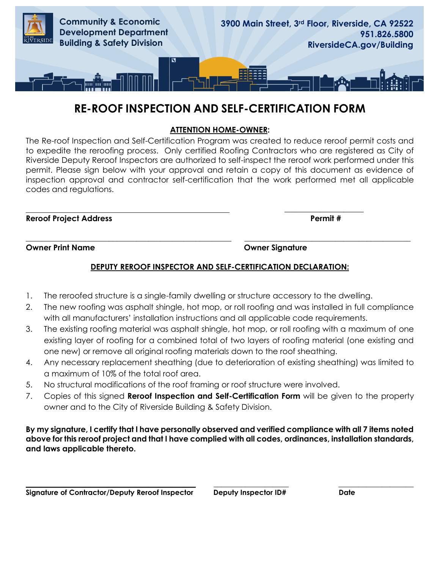

# **RE-ROOF INSPECTION AND SELF-CERTIFICATION FORM**

### **ATTENTION HOME-OWNER:**

The Re-roof Inspection and Self-Certification Program was created to reduce reroof permit costs and to expedite the reroofing process. Only certified Roofing Contractors who are registered as City of Riverside Deputy Reroof Inspectors are authorized to self-inspect the reroof work performed under this permit. Please sign below with your approval and retain a copy of this document as evidence of inspection approval and contractor self-certification that the work performed met all applicable codes and regulations.

**Reroof Project Address Permit #** 

**Owner Print Name Owner Signature** 

### **DEPUTY REROOF INSPECTOR AND SELF-CERTIFICATION DECLARATION:**

**\_\_\_\_\_\_\_\_\_\_\_\_\_\_\_\_\_\_\_\_\_\_\_\_\_\_\_\_\_\_\_\_\_\_\_\_\_\_\_\_\_\_\_\_\_\_\_\_\_\_\_\_ \_\_\_\_\_\_\_\_\_\_\_\_\_\_\_\_\_\_\_\_\_\_\_\_\_\_\_\_\_\_\_\_\_\_\_\_\_\_\_\_\_\_**

1. The reroofed structure is a single-family dwelling or structure accessory to the dwelling.

 **\_\_\_\_\_\_\_\_\_\_\_\_\_\_\_\_\_\_\_\_** 

- 2. The new roofing was asphalt shingle, hot mop, or roll roofing and was installed in full compliance with all manufacturers' installation instructions and all applicable code requirements.
- 3. The existing roofing material was asphalt shingle, hot mop, or roll roofing with a maximum of one existing layer of roofing for a combined total of two layers of roofing material (one existing and one new) or remove all original roofing materials down to the roof sheathing.
- 4. Any necessary replacement sheathing (due to deterioration of existing sheathing) was limited to a maximum of 10% of the total roof area.
- 5. No structural modifications of the roof framing or roof structure were involved.
- 7. Copies of this signed **Reroof Inspection and Self-Certification Form** will be given to the property owner and to the City of Riverside Building & Safety Division.

#### **By my signature, I certify that I have personally observed and verified compliance with all 7 items noted above for this reroof project and that I have complied with all codes, ordinances, installation standards, and laws applicable thereto.**

**\_\_\_\_\_\_\_\_\_\_\_\_\_\_\_\_\_\_\_\_\_\_\_\_\_\_\_\_\_\_\_\_\_\_\_\_\_\_\_\_\_\_\_ \_\_\_\_\_\_\_\_\_\_\_\_\_\_\_\_\_\_\_ \_\_\_\_\_\_\_\_\_\_\_\_\_\_\_\_\_\_\_**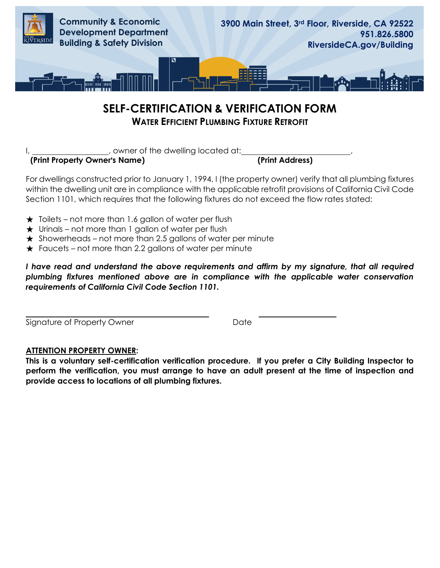

## **SELF-CERTIFICATION & VERIFICATION FORM WATER EFFICIENT PLUMBING FIXTURE RETROFIT**

I, sowner of the dwelling located at:

**(Print Property Owner's Name) (Print Address)** 

For dwellings constructed prior to January 1, 1994, I (the property owner) verify that all plumbing fixtures within the dwelling unit are in compliance with the applicable retrofit provisions of California Civil Code Section 1101, which requires that the following fixtures do not exceed the flow rates stated:

- $\star$  Toilets not more than 1.6 gallon of water per flush
- $\star$  Urinals not more than 1 gallon of water per flush
- $\star$  Showerheads not more than 2.5 gallons of water per minute
- $\star$  Faucets not more than 2.2 gallons of water per minute

*I have read and understand the above requirements and affirm by my signature, that all required plumbing fixtures mentioned above are in compliance with the applicable water conservation requirements of California Civil Code Section 1101.* 

 Signature of Property Owner **Date** Date

## **ATTENTION PROPERTY OWNER:**

**This is a voluntary self-certification verification procedure. If you prefer a City Building Inspector to perform the verification, you must arrange to have an adult present at the time of inspection and provide access to locations of all plumbing fixtures.**